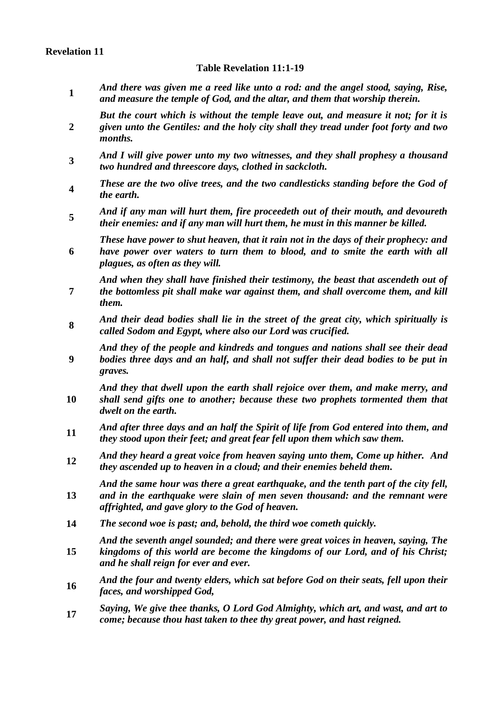# **Revelation 11**

#### **Table Revelation 11:1-19**

- **1** *And there was given me a reed like unto a rod: and the angel stood, saying, Rise, and measure the temple of God, and the altar, and them that worship therein.*
- **2** *But the court which is without the temple leave out, and measure it not; for it is given unto the Gentiles: and the holy city shall they tread under foot forty and two months.*
- **3** *And I will give power unto my two witnesses, and they shall prophesy a thousand two hundred and threescore days, clothed in sackcloth.*
- **4** *These are the two olive trees, and the two candlesticks standing before the God of the earth.*
- **5** *And if any man will hurt them, fire proceedeth out of their mouth, and devoureth their enemies: and if any man will hurt them, he must in this manner be killed.*
- **6** *These have power to shut heaven, that it rain not in the days of their prophecy: and have power over waters to turn them to blood, and to smite the earth with all plagues, as often as they will.*

**7** *And when they shall have finished their testimony, the beast that ascendeth out of the bottomless pit shall make war against them, and shall overcome them, and kill them.*

- **8** *And their dead bodies shall lie in the street of the great city, which spiritually is called Sodom and Egypt, where also our Lord was crucified.*
- **9** *And they of the people and kindreds and tongues and nations shall see their dead bodies three days and an half, and shall not suffer their dead bodies to be put in graves.*

**10** *And they that dwell upon the earth shall rejoice over them, and make merry, and shall send gifts one to another; because these two prophets tormented them that dwelt on the earth.*

- **<sup>11</sup>** *And after three days and an half the Spirit of life from God entered into them, and they stood upon their feet; and great fear fell upon them which saw them.*
- **<sup>12</sup>** *And they heard a great voice from heaven saying unto them, Come up hither. And they ascended up to heaven in a cloud; and their enemies beheld them.*

**13** *And the same hour was there a great earthquake, and the tenth part of the city fell, and in the earthquake were slain of men seven thousand: and the remnant were affrighted, and gave glory to the God of heaven.*

**14** *The second woe is past; and, behold, the third woe cometh quickly.*

**15** *And the seventh angel sounded; and there were great voices in heaven, saying, The kingdoms of this world are become the kingdoms of our Lord, and of his Christ; and he shall reign for ever and ever.*

- **<sup>16</sup>** *And the four and twenty elders, which sat before God on their seats, fell upon their faces, and worshipped God,*
- **<sup>17</sup>** *Saying, We give thee thanks, O Lord God Almighty, which art, and wast, and art to come; because thou hast taken to thee thy great power, and hast reigned.*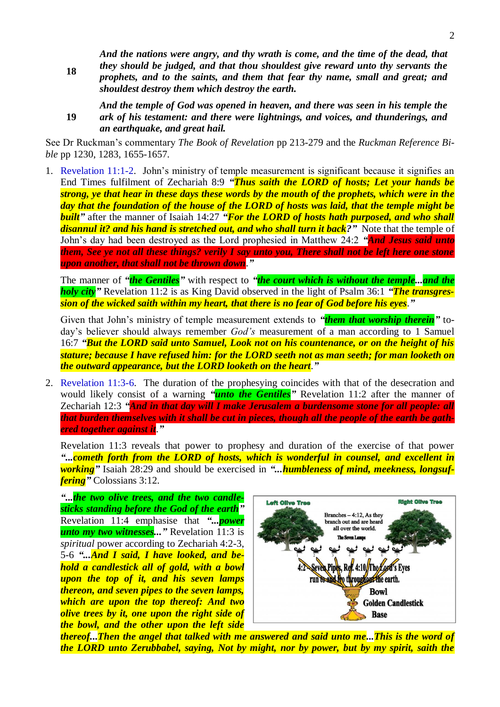**18** *And the nations were angry, and thy wrath is come, and the time of the dead, that they should be judged, and that thou shouldest give reward unto thy servants the prophets, and to the saints, and them that fear thy name, small and great; and shouldest destroy them which destroy the earth.*

**19** *And the temple of God was opened in heaven, and there was seen in his temple the ark of his testament: and there were lightnings, and voices, and thunderings, and an earthquake, and great hail.*

See Dr Ruckman's commentary *The Book of Revelation* pp 213-279 and the *Ruckman Reference Bible* pp 1230, 1283, 1655-1657.

1. Revelation 11:1-2. John's ministry of temple measurement is significant because it signifies an End Times fulfilment of Zechariah 8:9 *"Thus saith the LORD of hosts; Let your hands be strong, ye that hear in these days these words by the mouth of the prophets, which were in the day that the foundation of the house of the LORD of hosts was laid, that the temple might be built"* after the manner of Isaiah 14:27 *"For the LORD of hosts hath purposed, and who shall disannul it? and his hand is stretched out, and who shall turn it back?"* Note that the temple of John's day had been destroyed as the Lord prophesied in Matthew 24:2 *"And Jesus said unto them, See ye not all these things? verily I say unto you, There shall not be left here one stone upon another, that shall not be thrown down*.*"*

The manner of *"the Gentiles"* with respect to *"the court which is without the temple...and the holy city"* Revelation 11:2 is as King David observed in the light of Psalm 36:1 *"The transgression of the wicked saith within my heart, that there is no fear of God before his eyes*.*"*

Given that John's ministry of temple measurement extends to *"them that worship therein"* today's believer should always remember *God's* measurement of a man according to 1 Samuel 16:7 *"But the LORD said unto Samuel, Look not on his countenance, or on the height of his stature; because I have refused him: for the LORD seeth not as man seeth; for man looketh on the outward appearance, but the LORD looketh on the heart*.*"*

2. Revelation 11:3-6. The duration of the prophesying coincides with that of the desecration and would likely consist of a warning *"unto the Gentiles"* Revelation 11:2 after the manner of Zechariah 12:3 *"And in that day will I make Jerusalem a burdensome stone for all people: all that burden themselves with it shall be cut in pieces, though all the people of the earth be gathered together against it*.*"*

Revelation 11:3 reveals that power to prophesy and duration of the exercise of that power *"...cometh forth from the LORD of hosts, which is wonderful in counsel, and excellent in working"* Isaiah 28:29 and should be exercised in *"...humbleness of mind, meekness, longsuffering"* Colossians 3:12.

*"...the two olive trees, and the two candlesticks standing before the God of the earth"* Revelation 11:4 emphasise that *"...power unto my two witnesses..."* Revelation 11:3 is *spiritual* power according to Zechariah 4:2-3, 5-6 *"...And I said, I have looked, and behold a candlestick all of gold, with a bowl upon the top of it, and his seven lamps thereon, and seven pipes to the seven lamps, which are upon the top thereof: And two olive trees by it, one upon the right side of the bowl, and the other upon the left side*



*thereof...Then the angel that talked with me answered and said unto me...This is the word of the LORD unto Zerubbabel, saying, Not by might, nor by power, but by my spirit, saith the*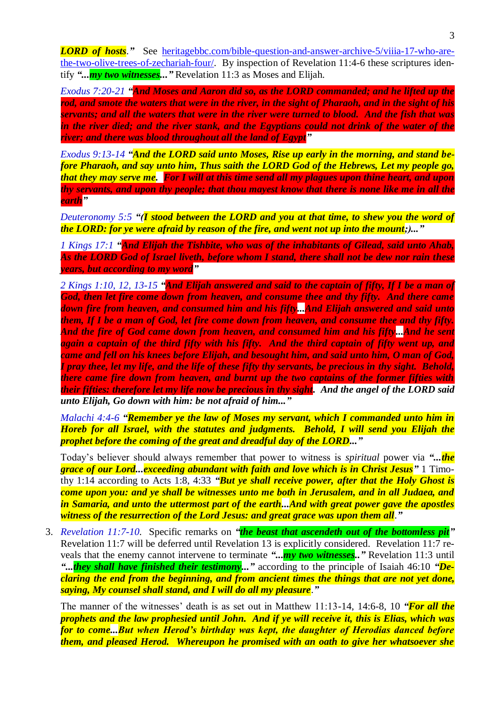*LORD of hosts*." See <u>heritagebbc.com/bible-question-and-answer-archive-5/viiia-17-who-are-</u> [the-two-olive-trees-of-zechariah-four/.](https://heritagebbc.com/bible-question-and-answer-archive-5/viiia-17-who-are-the-two-olive-trees-of-zechariah-four/) By inspection of Revelation 11:4-6 these scriptures identify *"...my two witnesses..."* Revelation 11:3 as Moses and Elijah.

*Exodus 7:20-21 "And Moses and Aaron did so, as the LORD commanded; and he lifted up the rod, and smote the waters that were in the river, in the sight of Pharaoh, and in the sight of his servants; and all the waters that were in the river were turned to blood. And the fish that was in the river died; and the river stank, and the Egyptians could not drink of the water of the river; and there was blood throughout all the land of Egypt"*

*Exodus 9:13-14 "And the LORD said unto Moses, Rise up early in the morning, and stand before Pharaoh, and say unto him, Thus saith the LORD God of the Hebrews, Let my people go, that they may serve me. For I will at this time send all my plagues upon thine heart, and upon thy servants, and upon thy people; that thou mayest know that there is none like me in all the earth"*

*Deuteronomy 5:5 "(I stood between the LORD and you at that time, to shew you the word of the LORD: for ye were afraid by reason of the fire, and went not up into the mount;)..."*

*1 Kings 17:1 "And Elijah the Tishbite, who was of the inhabitants of Gilead, said unto Ahab, As the LORD God of Israel liveth, before whom I stand, there shall not be dew nor rain these years, but according to my word"*

*2 Kings 1:10, 12, 13-15 "And Elijah answered and said to the captain of fifty, If I be a man of God, then let fire come down from heaven, and consume thee and thy fifty. And there came down fire from heaven, and consumed him and his fifty...And Elijah answered and said unto them, If I be a man of God, let fire come down from heaven, and consume thee and thy fifty. And the fire of God came down from heaven, and consumed him and his fifty...And he sent*  again a captain of the third fifty with his fifty. And the third captain of fifty went up, and *came and fell on his knees before Elijah, and besought him, and said unto him, O man of God, I pray thee, let my life, and the life of these fifty thy servants, be precious in thy sight. Behold, there came fire down from heaven, and burnt up the two captains of the former fifties with their fifties: therefore let my life now be precious in thy sight. And the angel of the LORD said unto Elijah, Go down with him: be not afraid of him..."*

*Malachi 4:4-6 "Remember ye the law of Moses my servant, which I commanded unto him in Horeb for all Israel, with the statutes and judgments. Behold, I will send you Elijah the prophet before the coming of the great and dreadful day of the LORD..."*

Today's believer should always remember that power to witness is *spiritual* power via *"...the grace of our Lord...exceeding abundant with faith and love which is in Christ Jesus"* 1 Timothy 1:14 according to Acts 1:8, 4:33 *"But ye shall receive power, after that the Holy Ghost is come upon you: and ye shall be witnesses unto me both in Jerusalem, and in all Judaea, and in Samaria, and unto the uttermost part of the earth...And with great power gave the apostles witness of the resurrection of the Lord Jesus: and great grace was upon them all*.*"*

3. *Revelation 11:7-10*. Specific remarks on *"the beast that ascendeth out of the bottomless pit"* Revelation 11:7 will be deferred until Revelation 13 is explicitly considered. Revelation 11:7 reveals that the enemy cannot intervene to terminate *"...my two witnesses.."* Revelation 11:3 until *"...they shall have finished their testimony..."* according to the principle of Isaiah 46:10 *"Declaring the end from the beginning, and from ancient times the things that are not yet done, saying, My counsel shall stand, and I will do all my pleasure*.*"*

The manner of the witnesses' death is as set out in Matthew 11:13-14, 14:6-8, 10 *"For all the prophets and the law prophesied until John. And if ye will receive it, this is Elias, which was for to come...But when Herod's birthday was kept, the daughter of Herodias danced before them, and pleased Herod. Whereupon he promised with an oath to give her whatsoever she*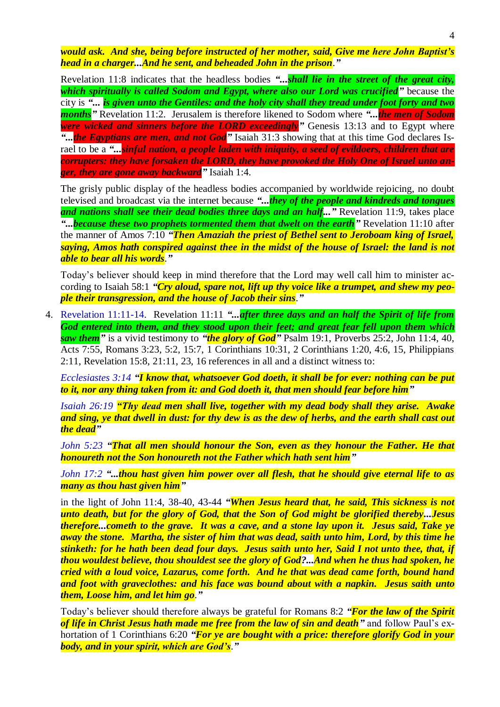*would ask. And she, being before instructed of her mother, said, Give me here John Baptist's head in a charger...And he sent, and beheaded John in the prison*.*"*

Revelation 11:8 indicates that the headless bodies *"...shall lie in the street of the great city, which spiritually is called Sodom and Egypt, where also our Lord was crucified"* because the city is *"... is given unto the Gentiles: and the holy city shall they tread under foot forty and two months"* Revelation 11:2. Jerusalem is therefore likened to Sodom where *"...the men of Sodom were wicked and sinners before the LORD exceedingly*" Genesis 13:13 and to Egypt where *"...the Egyptians are men, and not God"* Isaiah 31:3 showing that at this time God declares Israel to be a *"...sinful nation, a people laden with iniquity, a seed of evildoers, children that are corrupters: they have forsaken the LORD, they have provoked the Holy One of Israel unto anger, they are gone away backward"* Isaiah 1:4.

The grisly public display of the headless bodies accompanied by worldwide rejoicing, no doubt televised and broadcast via the internet because *"...they of the people and kindreds and tongues and nations shall see their dead bodies three days and an half..."* Revelation 11:9, takes place *"...because these two prophets tormented them that dwelt on the earth"* Revelation 11:10 after the manner of Amos 7:10 *"Then Amaziah the priest of Bethel sent to Jeroboam king of Israel, saying, Amos hath conspired against thee in the midst of the house of Israel: the land is not able to bear all his words*.*"*

Today's believer should keep in mind therefore that the Lord may well call him to minister according to Isaiah 58:1 *"Cry aloud, spare not, lift up thy voice like a trumpet, and shew my people their transgression, and the house of Jacob their sins*.*"*

4. Revelation 11:11-14. Revelation 11:11 *"...after three days and an half the Spirit of life from God entered into them, and they stood upon their feet; and great fear fell upon them which saw them"* is a vivid testimony to *"the glory of God"* Psalm 19:1, Proverbs 25:2, John 11:4, 40, Acts 7:55, Romans 3:23, 5:2, 15:7, 1 Corinthians 10:31, 2 Corinthians 1:20, 4:6, 15, Philippians 2:11, Revelation 15:8, 21:11, 23, 16 references in all and a distinct witness to:

*Ecclesiastes 3:14 "I know that, whatsoever God doeth, it shall be for ever: nothing can be put to it, nor any thing taken from it: and God doeth it, that men should fear before him"*

*Isaiah 26:19 "Thy dead men shall live, together with my dead body shall they arise. Awake and sing, ye that dwell in dust: for thy dew is as the dew of herbs, and the earth shall cast out the dead"*

*John 5:23 "That all men should honour the Son, even as they honour the Father. He that honoureth not the Son honoureth not the Father which hath sent him"*

*John 17:2 "...thou hast given him power over all flesh, that he should give eternal life to as many as thou hast given him"*

in the light of John 11:4, 38-40, 43-44 *"When Jesus heard that, he said, This sickness is not unto death, but for the glory of God, that the Son of God might be glorified thereby...Jesus therefore...cometh to the grave. It was a cave, and a stone lay upon it. Jesus said, Take ye away the stone. Martha, the sister of him that was dead, saith unto him, Lord, by this time he stinketh: for he hath been dead four days. Jesus saith unto her, Said I not unto thee, that, if thou wouldest believe, thou shouldest see the glory of God?...And when he thus had spoken, he cried with a loud voice, Lazarus, come forth. And he that was dead came forth, bound hand and foot with graveclothes: and his face was bound about with a napkin. Jesus saith unto them, Loose him, and let him go*.*"*

Today's believer should therefore always be grateful for Romans 8:2 *"For the law of the Spirit of life in Christ Jesus hath made me free from the law of sin and death"* and follow Paul's exhortation of 1 Corinthians 6:20 *"For ye are bought with a price: therefore glorify God in your body, and in your spirit, which are God's*.*"*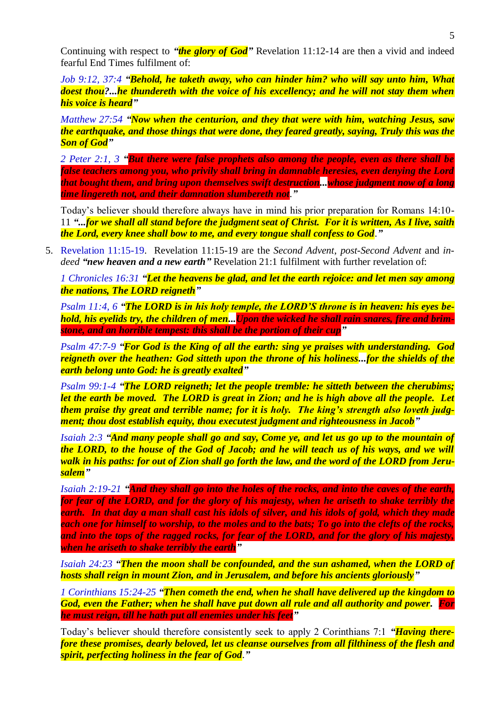Continuing with respect to *"the glory of God"* Revelation 11:12-14 are then a vivid and indeed fearful End Times fulfilment of:

*Job 9:12, 37:4 "Behold, he taketh away, who can hinder him? who will say unto him, What doest thou?...he thundereth with the voice of his excellency; and he will not stay them when his voice is heard"*

*Matthew 27:54 "Now when the centurion, and they that were with him, watching Jesus, saw the earthquake, and those things that were done, they feared greatly, saying, Truly this was the Son of God"*

*2 Peter 2:1, 3 "But there were false prophets also among the people, even as there shall be false teachers among you, who privily shall bring in damnable heresies, even denying the Lord that bought them, and bring upon themselves swift destruction...whose judgment now of a long time lingereth not, and their damnation slumbereth not*.*"*

Today's believer should therefore always have in mind his prior preparation for Romans 14:10- 11 *"...for we shall all stand before the judgment seat of Christ. For it is written, As I live, saith the Lord, every knee shall bow to me, and every tongue shall confess to God*.*"*

5. Revelation 11:15-19. Revelation 11:15-19 are the *Second Advent*, *post-Second Advent* and *indeed "new heaven and a new earth"* Revelation 21:1 fulfilment with further revelation of:

*1 Chronicles 16:31 "Let the heavens be glad, and let the earth rejoice: and let men say among the nations, The LORD reigneth"*

*Psalm 11:4, 6 "The LORD is in his holy temple, the LORD'S throne is in heaven: his eyes behold, his eyelids try, the children of men...Upon the wicked he shall rain snares, fire and brimstone, and an horrible tempest: this shall be the portion of their cup"*

*Psalm 47:7-9 "For God is the King of all the earth: sing ye praises with understanding. God reigneth over the heathen: God sitteth upon the throne of his holiness...for the shields of the earth belong unto God: he is greatly exalted"*

*Psalm 99:1-4 "The LORD reigneth; let the people tremble: he sitteth between the cherubims; let the earth be moved. The LORD is great in Zion; and he is high above all the people. Let them praise thy great and terrible name; for it is holy. The king's strength also loveth judgment; thou dost establish equity, thou executest judgment and righteousness in Jacob"*

*Isaiah 2:3 "And many people shall go and say, Come ye, and let us go up to the mountain of the LORD, to the house of the God of Jacob; and he will teach us of his ways, and we will walk in his paths: for out of Zion shall go forth the law, and the word of the LORD from Jerusalem"*

*Isaiah 2:19-21 "And they shall go into the holes of the rocks, and into the caves of the earth, for fear of the LORD, and for the glory of his majesty, when he ariseth to shake terribly the earth. In that day a man shall cast his idols of silver, and his idols of gold, which they made each one for himself to worship, to the moles and to the bats; To go into the clefts of the rocks, and into the tops of the ragged rocks, for fear of the LORD, and for the glory of his majesty, when he ariseth to shake terribly the earth"*

*Isaiah 24:23 "Then the moon shall be confounded, and the sun ashamed, when the LORD of hosts shall reign in mount Zion, and in Jerusalem, and before his ancients gloriously"*

*1 Corinthians 15:24-25 "Then cometh the end, when he shall have delivered up the kingdom to God, even the Father; when he shall have put down all rule and all authority and power. For he must reign, till he hath put all enemies under his feet"*

Today's believer should therefore consistently seek to apply 2 Corinthians 7:1 *"Having therefore these promises, dearly beloved, let us cleanse ourselves from all filthiness of the flesh and spirit, perfecting holiness in the fear of God*.*"*